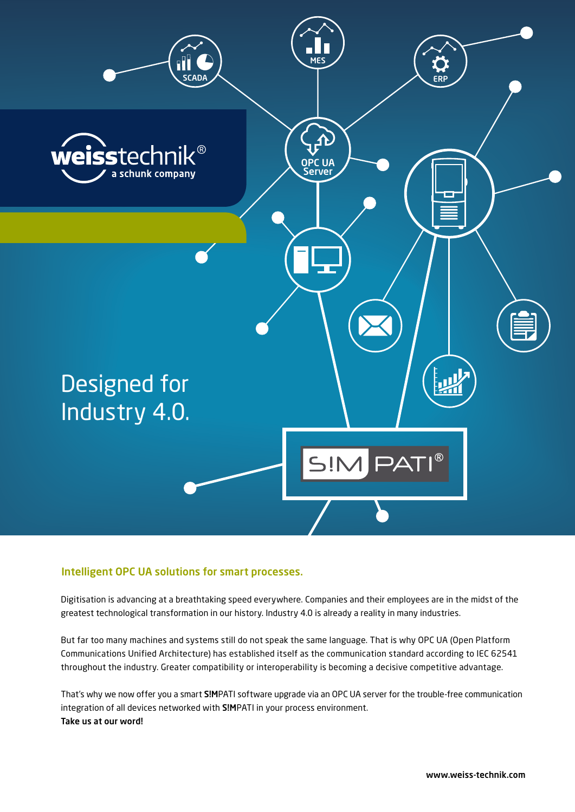

## Intelligent OPC UA solutions for smart processes.

Digitisation is advancing at a breathtaking speed everywhere. Companies and their employees are in the midst of the greatest technological transformation in our history. Industry 4.0 is already a reality in many industries.

But far too many machines and systems still do not speak the same language. That is why OPC UA (Open Platform Communications Unified Architecture) has established itself as the communication standard according to IEC 62541 throughout the industry. Greater compatibility or interoperability is becoming a decisive competitive advantage.

That's why we now offer you a smart S!MPATI software upgrade via an OPC UA server for the trouble-free communication integration of all devices networked with S!MPATI in your process environment. Take us at our word!